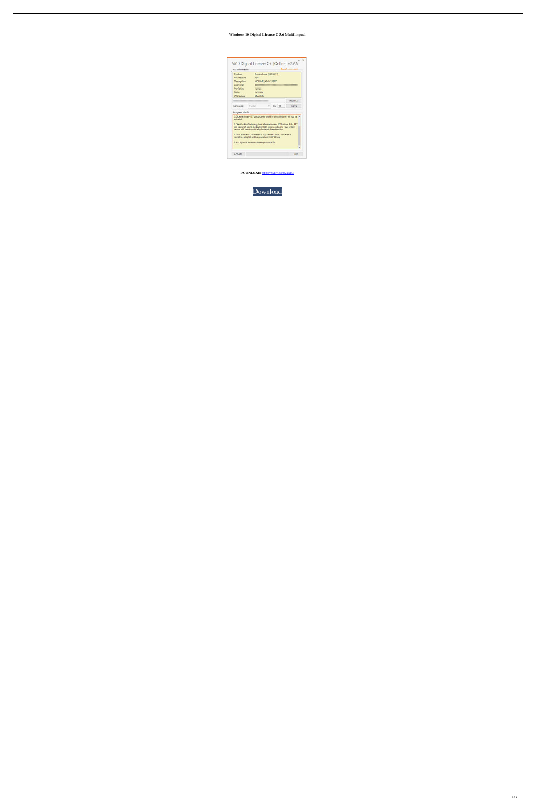## **Windows 10 Digital License C 3.6 Multilingual**



**DOWNLOAD:** <https://byltly.com/2iqdp3>